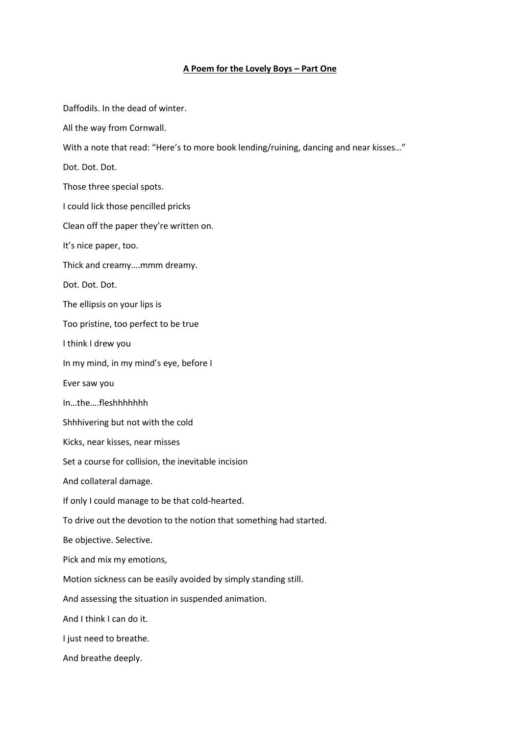## **A Poem for the Lovely Boys – Part One**

Daffodils. In the dead of winter. All the way from Cornwall. With a note that read: "Here's to more book lending/ruining, dancing and near kisses…" Dot. Dot. Dot. Those three special spots. I could lick those pencilled pricks Clean off the paper they're written on. It's nice paper, too. Thick and creamy….mmm dreamy. Dot. Dot. Dot. The ellipsis on your lips is Too pristine, too perfect to be true I think I drew you In my mind, in my mind's eye, before I Ever saw you In…the….fleshhhhhhh Shhhivering but not with the cold Kicks, near kisses, near misses Set a course for collision, the inevitable incision And collateral damage. If only I could manage to be that cold-hearted. To drive out the devotion to the notion that something had started. Be objective. Selective. Pick and mix my emotions, Motion sickness can be easily avoided by simply standing still. And assessing the situation in suspended animation. And I think I can do it. I just need to breathe. And breathe deeply.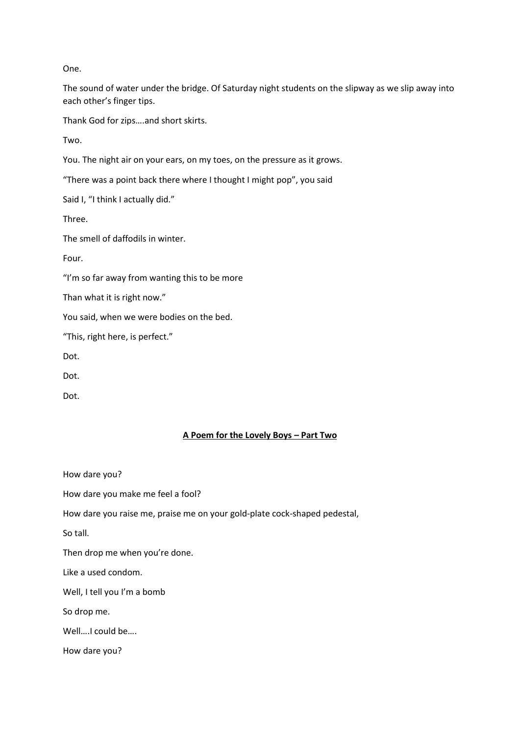One.

The sound of water under the bridge. Of Saturday night students on the slipway as we slip away into each other's finger tips.

Thank God for zips….and short skirts.

Two.

You. The night air on your ears, on my toes, on the pressure as it grows.

"There was a point back there where I thought I might pop", you said

Said I, "I think I actually did."

Three.

The smell of daffodils in winter.

Four.

"I'm so far away from wanting this to be more

Than what it is right now."

You said, when we were bodies on the bed.

"This, right here, is perfect."

Dot.

Dot.

Dot.

## **A Poem for the Lovely Boys – Part Two**

| How dare you?                                                             |
|---------------------------------------------------------------------------|
| How dare you make me feel a fool?                                         |
| How dare you raise me, praise me on your gold-plate cock-shaped pedestal, |
| So tall.                                                                  |
| Then drop me when you're done.                                            |
| Like a used condom.                                                       |
| Well, I tell you I'm a bomb                                               |
| So drop me.                                                               |
| WellI could be                                                            |
| How dare you?                                                             |
|                                                                           |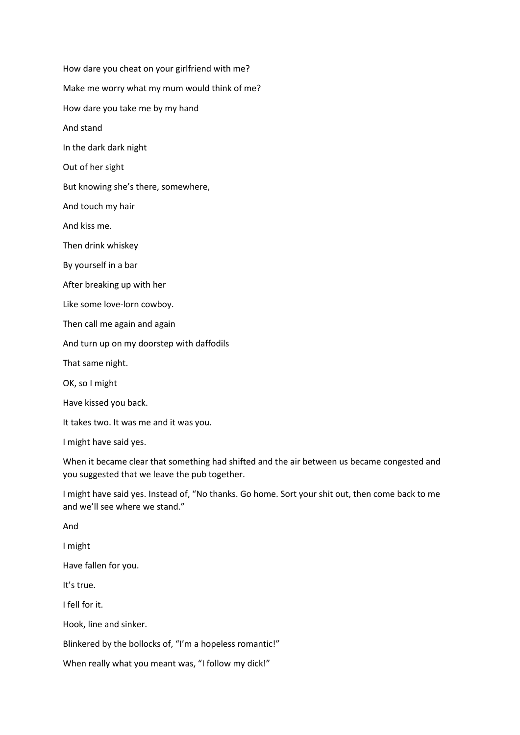How dare you cheat on your girlfriend with me? Make me worry what my mum would think of me? How dare you take me by my hand And stand In the dark dark night Out of her sight But knowing she's there, somewhere, And touch my hair And kiss me. Then drink whiskey By yourself in a bar After breaking up with her Like some love-lorn cowboy. Then call me again and again And turn up on my doorstep with daffodils That same night. OK, so I might Have kissed you back. It takes two. It was me and it was you. I might have said yes. When it became clear that something had shifted and the air between us became congested and you suggested that we leave the pub together. I might have said yes. Instead of, "No thanks. Go home. Sort your shit out, then come back to me and we'll see where we stand." And I might

Have fallen for you.

It's true.

I fell for it.

Hook, line and sinker.

Blinkered by the bollocks of, "I'm a hopeless romantic!"

When really what you meant was, "I follow my dick!"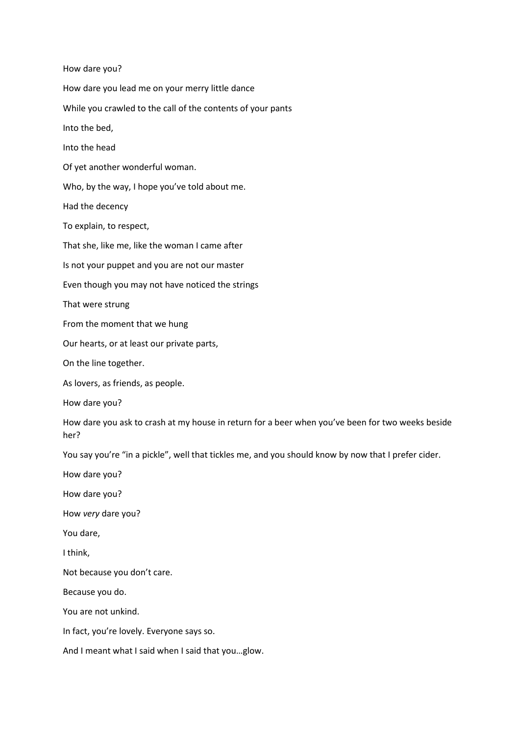How dare you? How dare you lead me on your merry little dance While you crawled to the call of the contents of your pants Into the bed, Into the head Of yet another wonderful woman. Who, by the way, I hope you've told about me. Had the decency To explain, to respect, That she, like me, like the woman I came after Is not your puppet and you are not our master Even though you may not have noticed the strings That were strung From the moment that we hung Our hearts, or at least our private parts, On the line together. As lovers, as friends, as people. How dare you? How dare you ask to crash at my house in return for a beer when you've been for two weeks beside her? You say you're "in a pickle", well that tickles me, and you should know by now that I prefer cider. How dare you? How dare you? How *very* dare you? You dare, I think, Not because you don't care. Because you do. You are not unkind. In fact, you're lovely. Everyone says so. And I meant what I said when I said that you…glow.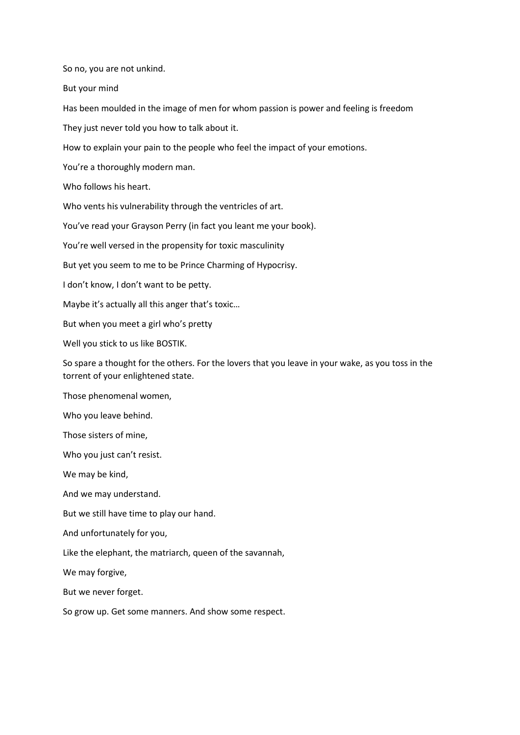So no, you are not unkind.

But your mind

Has been moulded in the image of men for whom passion is power and feeling is freedom

They just never told you how to talk about it.

How to explain your pain to the people who feel the impact of your emotions.

You're a thoroughly modern man.

Who follows his heart.

Who vents his vulnerability through the ventricles of art.

You've read your Grayson Perry (in fact you leant me your book).

You're well versed in the propensity for toxic masculinity

But yet you seem to me to be Prince Charming of Hypocrisy.

I don't know, I don't want to be petty.

Maybe it's actually all this anger that's toxic…

But when you meet a girl who's pretty

Well you stick to us like BOSTIK.

So spare a thought for the others. For the lovers that you leave in your wake, as you toss in the torrent of your enlightened state.

Those phenomenal women,

Who you leave behind.

Those sisters of mine,

Who you just can't resist.

We may be kind,

And we may understand.

But we still have time to play our hand.

And unfortunately for you,

Like the elephant, the matriarch, queen of the savannah,

We may forgive,

But we never forget.

So grow up. Get some manners. And show some respect.